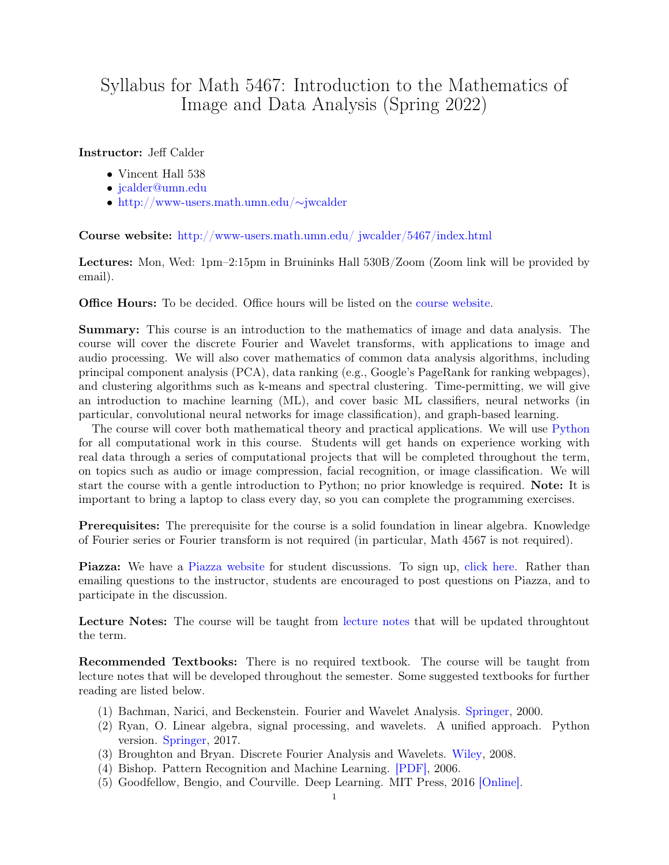## Syllabus for Math 5467: Introduction to the Mathematics of Image and Data Analysis (Spring 2022)

## Instructor: Jeff Calder

- Vincent Hall 538
- [jcalder@umn.edu](mailto:jcalder@umn.edu)
- [http://www-users.math.umn.edu/](http://www-users.math.umn.edu/~jwcalder/index.html)∼jwcalder

Course website: [http://www-users.math.umn.edu/ jwcalder/5467/index.html](http://www-users.math.umn.edu/~jwcalder/5467/index.html)

Lectures: Mon, Wed: 1pm–2:15pm in Bruininks Hall 530B/Zoom (Zoom link will be provided by email).

Office Hours: To be decided. Office hours will be listed on the [course website.](http://www-users.math.umn.edu/~jwcalder/5467/index.html)

Summary: This course is an introduction to the mathematics of image and data analysis. The course will cover the discrete Fourier and Wavelet transforms, with applications to image and audio processing. We will also cover mathematics of common data analysis algorithms, including principal component analysis (PCA), data ranking (e.g., Google's PageRank for ranking webpages), and clustering algorithms such as k-means and spectral clustering. Time-permitting, we will give an introduction to machine learning (ML), and cover basic ML classifiers, neural networks (in particular, convolutional neural networks for image classification), and graph-based learning.

The course will cover both mathematical theory and practical applications. We will use [Python](https://www.python.org/) for all computational work in this course. Students will get hands on experience working with real data through a series of computational projects that will be completed throughout the term, on topics such as audio or image compression, facial recognition, or image classification. We will start the course with a gentle introduction to Python; no prior knowledge is required. Note: It is important to bring a laptop to class every day, so you can complete the programming exercises.

Prerequisites: The prerequisite for the course is a solid foundation in linear algebra. Knowledge of Fourier series or Fourier transform is not required (in particular, Math 4567 is not required).

Piazza: We have a [Piazza website](https://piazza.com/umn/spring2022/math5467/home) for student discussions. To sign up, [click here.](https://piazza.com/umn/spring2022/math5467) Rather than emailing questions to the instructor, students are encouraged to post questions on Piazza, and to participate in the discussion.

Lecture Notes: The course will be taught from [lecture notes](http://www-users.math.umn.edu/~jwcalder/5467Notes.pdf) that will be updated throughtout the term.

Recommended Textbooks: There is no required textbook. The course will be taught from lecture notes that will be developed throughout the semester. Some suggested textbooks for further reading are listed below.

- (1) Bachman, Narici, and Beckenstein. Fourier and Wavelet Analysis. [Springer,](https://www.springer.com/gp/book/9780387988993) 2000.
- (2) Ryan, O. Linear algebra, signal processing, and wavelets. A unified approach. Python version. [Springer,](https://www.springer.com/gp/book/9783030029395) 2017.
- (3) Broughton and Bryan. Discrete Fourier Analysis and Wavelets. [Wiley,](https://onlinelibrary.wiley.com/doi/book/10.1002/9781118032442) 2008.
- (4) Bishop. Pattern Recognition and Machine Learning. [\[PDF\],](http://users.isr.ist.utl.pt/~wurmd/Livros/school/Bishop%20-%20Pattern%20Recognition%20And%20Machine%20Learning%20-%20Springer%20%202006.pdf) 2006.
- (5) Goodfellow, Bengio, and Courville. Deep Learning. MIT Press, 2016 [\[Online\].](https://www.deeplearningbook.org/)